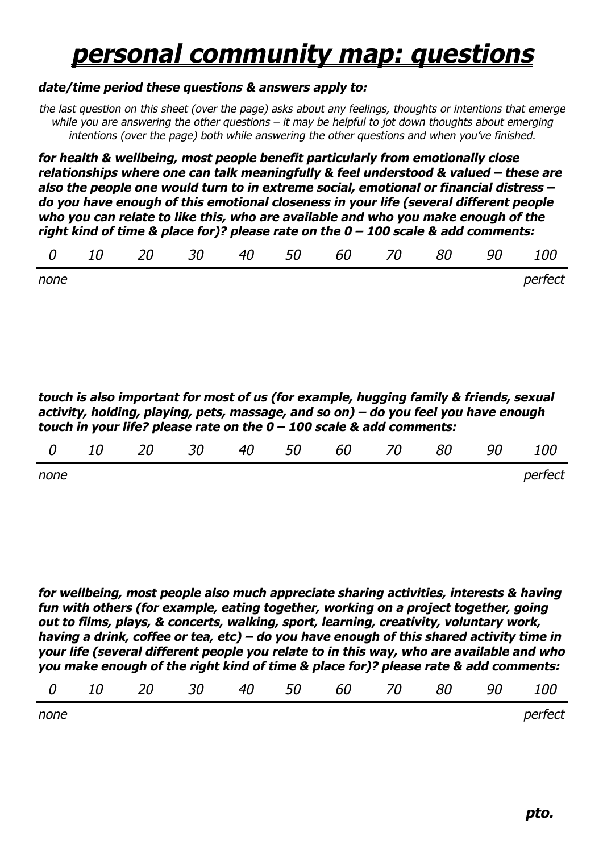## *personal community map: questions*

## *date/time period these questions & answers apply to:*

*the last question on this sheet (over the page) asks about any feelings, thoughts or intentions that emerge while you are answering the other questions – it may be helpful to jot down thoughts about emerging intentions (over the page) both while answering the other questions and when you've finished.*

*for health & wellbeing, most people benefit particularly from emotionally close relationships where one can talk meaningfully & feel understood & valued – these are also the people one would turn to in extreme social, emotional or financial distress – do you have enough of this emotional closeness in your life (several different people who you can relate to like this, who are available and who you make enough of the right kind of time & place for)? please rate on the 0 – 100 scale & add comments:*

|  |  |  |  |  |  |  | 0 10 20 30 40 50 60 70 80 90 100 |  |  |  |
|--|--|--|--|--|--|--|----------------------------------|--|--|--|
|--|--|--|--|--|--|--|----------------------------------|--|--|--|

*none perfect* 

*touch is also important for most of us (for example, hugging family & friends, sexual activity, holding, playing, pets, massage, and so on) – do you feel you have enough touch in your life? please rate on the 0 – 100 scale & add comments:* 

| $\theta$ | 10 | 20 | 30 | 40 | 50 | 60 70 | 80 | 90 | 100     |
|----------|----|----|----|----|----|-------|----|----|---------|
| none     |    |    |    |    |    |       |    |    | perfect |

*for wellbeing, most people also much appreciate sharing activities, interests & having fun with others (for example, eating together, working on a project together, going out to films, plays, & concerts, walking, sport, learning, creativity, voluntary work, having a drink, coffee or tea, etc) – do you have enough of this shared activity time in your life (several different people you relate to in this way, who are available and who you make enough of the right kind of time & place for)? please rate & add comments:* 

| 0 10 20 30 40 50 60 70 80 90 100 |  |  |
|----------------------------------|--|--|
|----------------------------------|--|--|

| none | perfect |
|------|---------|
|------|---------|